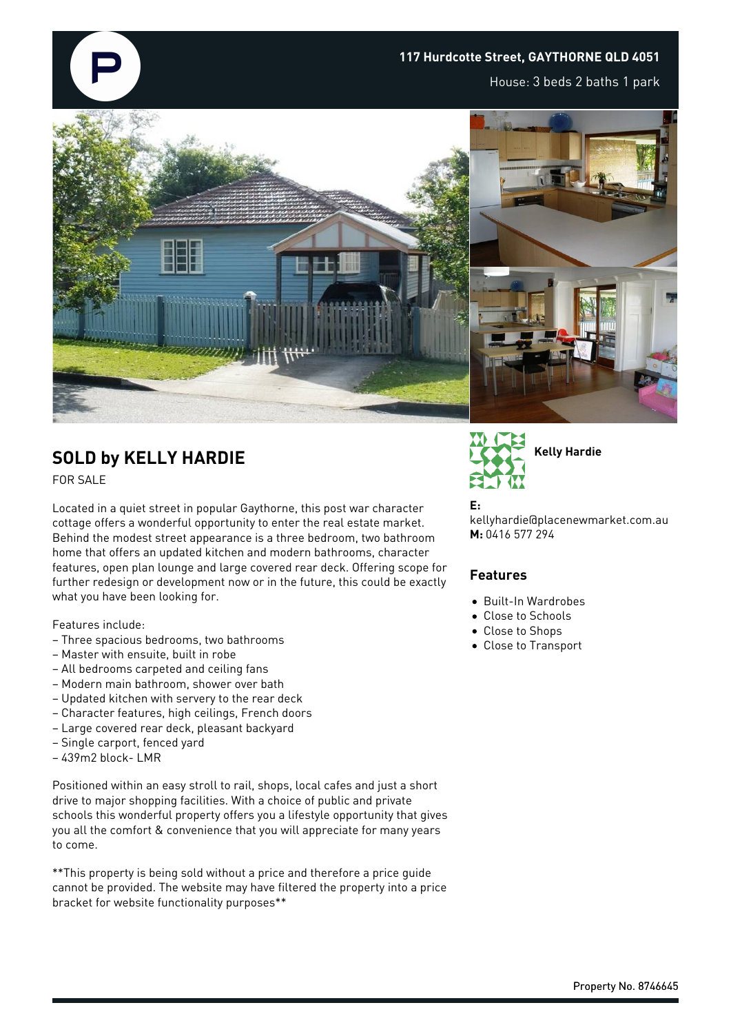

## **117 Hurdcotte Street, GAYTHORNE QLD 4051**

House: 3 beds 2 baths 1 park



## **SOLD by KELLY HARDIE**

FOR SALE

Located in a quiet street in popular Gaythorne, this post war character cottage offers a wonderful opportunity to enter the real estate market. Behind the modest street appearance is a three bedroom, two bathroom home that offers an updated kitchen and modern bathrooms, character features, open plan lounge and large covered rear deck. Offering scope for further redesign or development now or in the future, this could be exactly what you have been looking for.

Features include:

- Three spacious bedrooms, two bathrooms
- Master with ensuite, built in robe
- All bedrooms carpeted and ceiling fans
- Modern main bathroom, shower over bath
- Updated kitchen with servery to the rear deck
- Character features, high ceilings, French doors
- Large covered rear deck, pleasant backyard
- Single carport, fenced yard
- 439m2 block- LMR

Positioned within an easy stroll to rail, shops, local cafes and just a short drive to major shopping facilities. With a choice of public and private schools this wonderful property offers you a lifestyle opportunity that gives you all the comfort & convenience that you will appreciate for many years to come.

\*\*This property is being sold without a price and therefore a price guide cannot be provided. The website may have filtered the property into a price bracket for website functionality purposes\*\*



## **E:**

kellyhardie@placenewmarket.com.au **M:** 0416 577 294

## **Features**

- Built-In Wardrobes
- Close to Schools
- Close to Shops
- Close to Transport